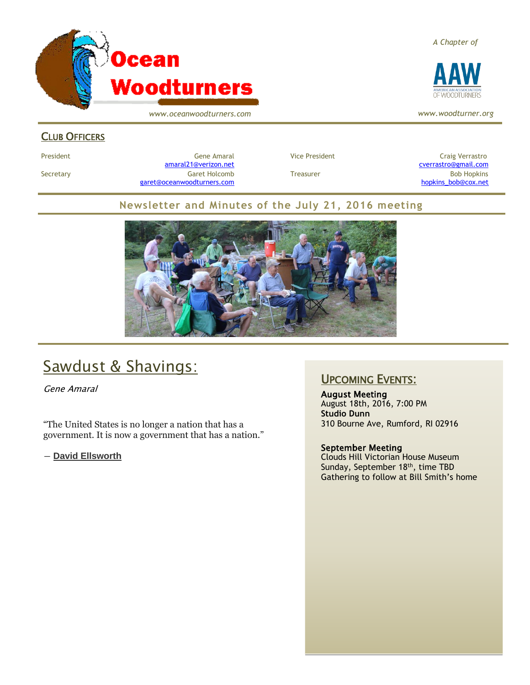

*www.oceanwoodturners.com*

### CLUB OFFICERS

President Craig Verrastro Cene Amaral Cene Amaral Vice President Craig Verrastro Craig Verrastro [amaral21@verizon.net](mailto:amaral21@verizon.net) [cverrastro@gmail.com](mailto:cverrastro@gmail.com) Secretary Garet Holcomb Treasurer Bob Hopkins Bob Hopkins (Bob Hopkins Garet Holcomb [garet@oceanwoodturners.com](mailto:garet@oceanwoodturners.com) and the state of the state of the state of the state of the state of the state of the state of the state of the state of the state of the state of the state of the state of the state of the state

### **Newsletter and Minutes of the July 21, 2016 meeting**



# Sawdust & Shavings:

Gene Amaral

"The United States is no longer a nation that has a government. It is now a government that has a nation."

― **[David Ellsworth](https://www.goodreads.com/author/show/2073975.David_Ellsworth)**

## UPCOMING EVENTS:

August Meeting August 18th, 2016, 7:00 PM **Studio Dunn** 310 Bourne Ave, Rumford, RI 02916

#### September Meeting

Clouds Hill Victorian House Museum Sunday, September 18<sup>th</sup>, time TBD Gathering to follow at Bill Smith's home

*A Chapter of*



*www.woodturner.org*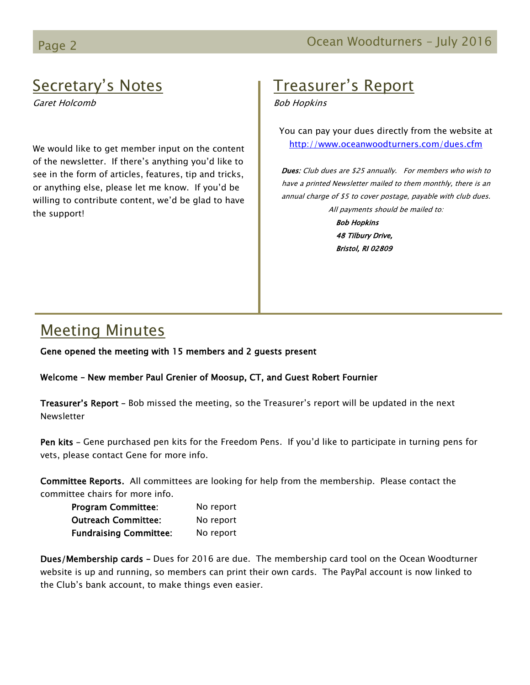# Secretary's Notes

Garet Holcomb

We would like to get member input on the content of the newsletter. If there's anything you'd like to see in the form of articles, features, tip and tricks, or anything else, please let me know. If you'd be willing to contribute content, we'd be glad to have the support!

# Treasurer's Report

Bob Hopkins

You can pay your dues directly from the website at <http://www.oceanwoodturners.com/dues.cfm>

Dues: Club dues are \$25 annually. For members who wish to have a printed Newsletter mailed to them monthly, there is an annual charge of \$5 to cover postage, payable with club dues. All payments should be mailed to:

> Bob Hopkins 48 Tilbury Drive, Bristol, RI 02809

## Meeting Minutes

Gene opened the meeting with 15 members and 2 guests present

Welcome – New member Paul Grenier of Moosup, CT, and Guest Robert Fournier

Treasurer's Report - Bob missed the meeting, so the Treasurer's report will be updated in the next Newsletter

Pen kits – Gene purchased pen kits for the Freedom Pens. If you'd like to participate in turning pens for vets, please contact Gene for more info.

Committee Reports. All committees are looking for help from the membership. Please contact the committee chairs for more info.

| <b>Program Committee:</b>     | No report |
|-------------------------------|-----------|
| <b>Outreach Committee:</b>    | No report |
| <b>Fundraising Committee:</b> | No report |

Dues/Membership cards – Dues for 2016 are due. The membership card tool on the Ocean Woodturner website is up and running, so members can print their own cards. The PayPal account is now linked to the Club's bank account, to make things even easier.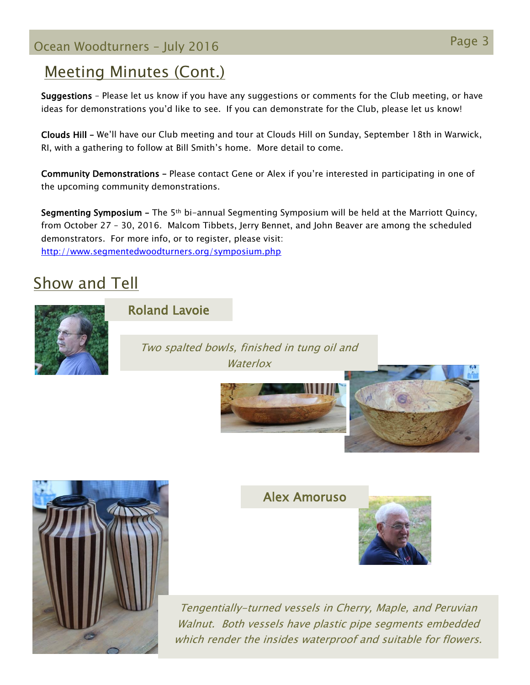# Page 3 Ocean Woodturners – July <sup>2016</sup>

## Meeting Minutes (Cont.)

Suggestions – Please let us know if you have any suggestions or comments for the Club meeting, or have ideas for demonstrations you'd like to see. If you can demonstrate for the Club, please let us know!

Clouds Hill – We'll have our Club meeting and tour at Clouds Hill on Sunday, September 18th in Warwick, RI, with a gathering to follow at Bill Smith's home. More detail to come.

Community Demonstrations – Please contact Gene or Alex if you're interested in participating in one of the upcoming community demonstrations.

Segmenting Symposium – The 5th bi-annual Segmenting Symposium will be held at the Marriott Quincy, from October 27 – 30, 2016. Malcom Tibbets, Jerry Bennet, and John Beaver are among the scheduled demonstrators. For more info, or to register, please visit: <http://www.segmentedwoodturners.org/symposium.php>

# Show and Tell



## Roland Lavoie

Two spalted bowls, finished in tung oil and **Waterlox** 







Alex Amoruso



Tengentially-turned vessels in Cherry, Maple, and Peruvian Walnut. Both vessels have plastic pipe segments embedded which render the insides waterproof and suitable for flowers.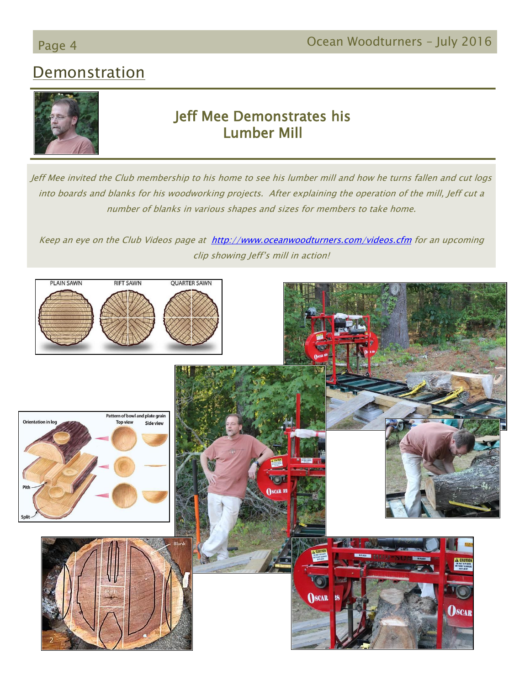# **Demonstration**



## Jeff Mee Demonstrates his Lumber Mill

Jeff Mee invited the Club membership to his home to see his lumber mill and how he turns fallen and cut logs into boards and blanks for his woodworking projects. After explaining the operation of the mill, Jeff cut a number of blanks in various shapes and sizes for members to take home.

Keep an eye on the Club Videos page at <http://www.oceanwoodturners.com/videos.cfm> for an upcoming clip showing Jeff's mill in action!